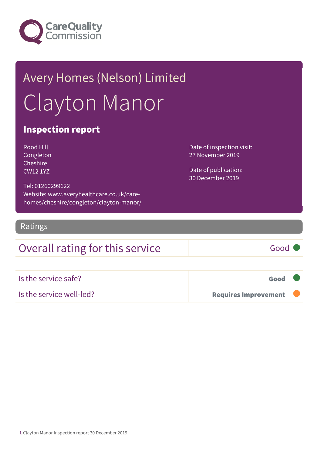

# Avery Homes (Nelson) Limited Clayton Manor

### Inspection report

Rood Hill Congleton Cheshire CW12 1YZ

Tel: 01260299622 Website: www.averyhealthcare.co.uk/carehomes/cheshire/congleton/clayton-manor/ Date of inspection visit: 27 November 2019

Date of publication: 30 December 2019

Ratings

### Overall rating for this service Fig. 6000

| Is the service safe?     | Good                        |  |
|--------------------------|-----------------------------|--|
| Is the service well-led? | <b>Requires Improvement</b> |  |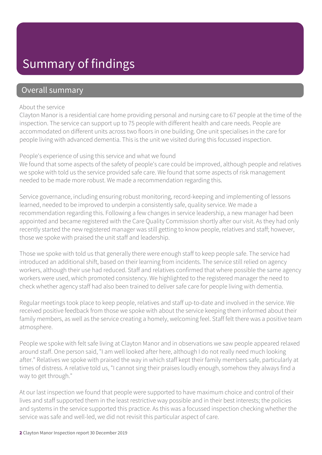## Summary of findings

### Overall summary

#### About the service

Clayton Manor is a residential care home providing personal and nursing care to 67 people at the time of the inspection. The service can support up to 75 people with different health and care needs. People are accommodated on different units across two floors in one building. One unit specialises in the care for people living with advanced dementia. This is the unit we visited during this focussed inspection.

#### People's experience of using this service and what we found

We found that some aspects of the safety of people's care could be improved, although people and relatives we spoke with told us the service provided safe care. We found that some aspects of risk management needed to be made more robust. We made a recommendation regarding this.

Service governance, including ensuring robust monitoring, record-keeping and implementing of lessons learned, needed to be improved to underpin a consistently safe, quality service. We made a recommendation regarding this. Following a few changes in service leadership, a new manager had been appointed and became registered with the Care Quality Commission shortly after our visit. As they had only recently started the new registered manager was still getting to know people, relatives and staff; however, those we spoke with praised the unit staff and leadership.

Those we spoke with told us that generally there were enough staff to keep people safe. The service had introduced an additional shift, based on their learning from incidents. The service still relied on agency workers, although their use had reduced. Staff and relatives confirmed that where possible the same agency workers were used, which promoted consistency. We highlighted to the registered manager the need to check whether agency staff had also been trained to deliver safe care for people living with dementia.

Regular meetings took place to keep people, relatives and staff up-to-date and involved in the service. We received positive feedback from those we spoke with about the service keeping them informed about their family members, as well as the service creating a homely, welcoming feel. Staff felt there was a positive team atmosphere.

People we spoke with felt safe living at Clayton Manor and in observations we saw people appeared relaxed around staff. One person said, "I am well looked after here, although I do not really need much looking after." Relatives we spoke with praised the way in which staff kept their family members safe, particularly at times of distress. A relative told us, "I cannot sing their praises loudly enough, somehow they always find a way to get through."

At our last inspection we found that people were supported to have maximum choice and control of their lives and staff supported them in the least restrictive way possible and in their best interests; the policies and systems in the service supported this practice. As this was a focussed inspection checking whether the service was safe and well-led, we did not revisit this particular aspect of care.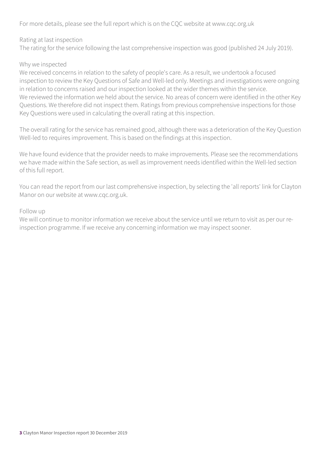For more details, please see the full report which is on the CQC website at www.cqc.org.uk

Rating at last inspection

The rating for the service following the last comprehensive inspection was good (published 24 July 2019).

#### Why we inspected

We received concerns in relation to the safety of people's care. As a result, we undertook a focused inspection to review the Key Questions of Safe and Well-led only. Meetings and investigations were ongoing in relation to concerns raised and our inspection looked at the wider themes within the service. We reviewed the information we held about the service. No areas of concern were identified in the other Key Questions. We therefore did not inspect them. Ratings from previous comprehensive inspections for those Key Questions were used in calculating the overall rating at this inspection.

The overall rating for the service has remained good, although there was a deterioration of the Key Question Well-led to requires improvement. This is based on the findings at this inspection.

We have found evidence that the provider needs to make improvements. Please see the recommendations we have made within the Safe section, as well as improvement needs identified within the Well-led section of this full report.

You can read the report from our last comprehensive inspection, by selecting the 'all reports' link for Clayton Manor on our website at www.cqc.org.uk.

#### Follow up

We will continue to monitor information we receive about the service until we return to visit as per our reinspection programme. If we receive any concerning information we may inspect sooner.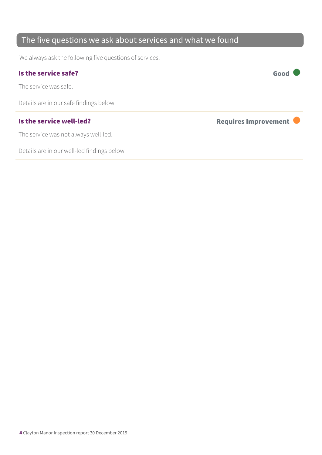### The five questions we ask about services and what we found

We always ask the following five questions of services.

| Is the service safe?                    | Good                 |
|-----------------------------------------|----------------------|
| The service was safe.                   |                      |
| Details are in our safe findings below. |                      |
|                                         |                      |
| Is the service well-led?                | Requires Improvement |
| The service was not always well-led.    |                      |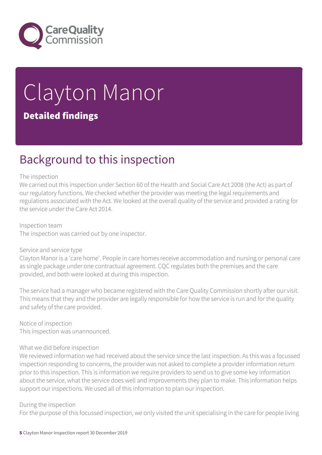

# Clayton Manor Detailed findings

## Background to this inspection

#### The inspection

We carried out this inspection under Section 60 of the Health and Social Care Act 2008 (the Act) as part of our regulatory functions. We checked whether the provider was meeting the legal requirements and regulations associated with the Act. We looked at the overall quality of the service and provided a rating for the service under the Care Act 2014.

Inspection team The inspection was carried out by one inspector.

#### Service and service type

Clayton Manor is a 'care home'. People in care homes receive accommodation and nursing or personal care as single package under one contractual agreement. CQC regulates both the premises and the care provided, and both were looked at during this inspection.

The service had a manager who became registered with the Care Quality Commission shortly after our visit. This means that they and the provider are legally responsible for how the service is run and for the quality and safety of the care provided.

Notice of inspection This inspection was unannounced.

#### What we did before inspection

We reviewed information we had received about the service since the last inspection. As this was a focussed inspection responding to concerns, the provider was not asked to complete a provider information return prior to this inspection. This is information we require providers to send us to give some key information about the service, what the service does well and improvements they plan to make. This information helps support our inspections. We used all of this information to plan our inspection.

#### During the inspection

For the purpose of this focussed inspection, we only visited the unit specialising in the care for people living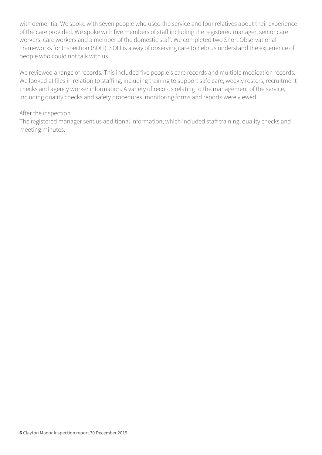with dementia. We spoke with seven people who used the service and four relatives about their experience of the care provided. We spoke with five members of staff including the registered manager, senior care workers, care workers and a member of the domestic staff. We completed two Short Observational Frameworks for Inspection (SOFI). SOFI is a way of observing care to help us understand the experience of people who could not talk with us.

We reviewed a range of records. This included five people's care records and multiple medication records. We looked at files in relation to staffing, including training to support safe care, weekly rosters, recruitment checks and agency worker information. A variety of records relating to the management of the service, including quality checks and safety procedures, monitoring forms and reports were viewed.

#### After the inspection

The registered manager sent us additional information, which included staff training, quality checks and meeting minutes.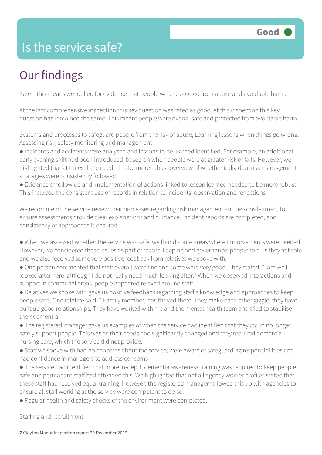### Is the service safe?

# Our findings

Safe – this means we looked for evidence that people were protected from abuse and avoidable harm.

At the last comprehensive inspection this key question was rated as good. At this inspection this key question has remained the same. This meant people were overall safe and protected from avoidable harm.

Systems and processes to safeguard people from the risk of abuse; Learning lessons when things go wrong; Assessing risk, safety monitoring and management

● Incidents and accidents were analysed and lessons to be learned identified. For example, an additional early evening shift had been introduced, based on when people were at greater risk of falls. However, we highlighted that at times there needed to be more robust overview of whether individual risk management strategies were consistently followed.

● Evidence of follow up and implementation of actions linked to lesson learned needed to be more robust. This included the consistent use of records in relation to incidents, observation and reflections.

We recommend the service review their processes regarding risk management and lessons learned, to ensure assessments provide clear explanations and guidance, incident reports are completed, and consistency of approaches is ensured.

- When we assessed whether the service was safe, we found some areas where improvements were needed. However, we considered these issues as part of record-keeping and governance; people told us they felt safe and we also received some very positive feedback from relatives we spoke with.
- One person commented that staff overall were fine and some were very good. They stated, "I am well looked after here, although I do not really need much looking after." When we observed interactions and support in communal areas, people appeared relaxed around staff.

● Relatives we spoke with gave us positive feedback regarding staff's knowledge and approaches to keep people safe. One relative said, "[Family member] has thrived there. They make each other giggle, they have built up good relationships. They have worked with me and the mental health team and tried to stabilise their dementia."

● The registered manager gave us examples of when the service had identified that they could no longer safely support people. This was as their needs had significantly changed and they required dementia nursing care, which the service did not provide.

- Staff we spoke with had no concerns about the service, were aware of safeguarding responsibilities and had confidence in managers to address concerns
- The service had identified that more in-depth dementia awareness training was required to keep people safe and permanent staff had attended this. We highlighted that not all agency worker profiles stated that these staff had received equal training. However, the registered manager followed this up with agencies to ensure all staff working at the service were competent to do so.
- Regular health and safety checks of the environment were completed.

Staffing and recruitment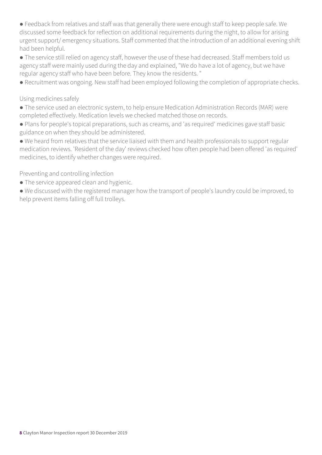● Feedback from relatives and staff was that generally there were enough staff to keep people safe. We discussed some feedback for reflection on additional requirements during the night, to allow for arising urgent support/ emergency situations. Staff commented that the introduction of an additional evening shift had been helpful.

● The service still relied on agency staff, however the use of these had decreased. Staff members told us agency staff were mainly used during the day and explained, "We do have a lot of agency, but we have regular agency staff who have been before. They know the residents. "

● Recruitment was ongoing. New staff had been employed following the completion of appropriate checks.

#### Using medicines safely

● The service used an electronic system, to help ensure Medication Administration Records (MAR) were completed effectively. Medication levels we checked matched those on records.

● Plans for people's topical preparations, such as creams, and 'as required' medicines gave staff basic guidance on when they should be administered.

● We heard from relatives that the service liaised with them and health professionals to support regular medication reviews. 'Resident of the day' reviews checked how often people had been offered 'as required' medicines, to identify whether changes were required.

Preventing and controlling infection

- The service appeared clean and hygienic.
- We discussed with the registered manager how the transport of people's laundry could be improved, to help prevent items falling off full trolleys.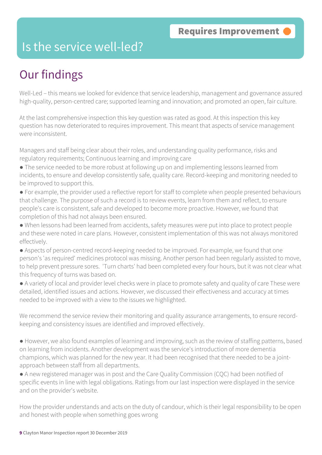### Is the service well-led?

## Our findings

Well-Led – this means we looked for evidence that service leadership, management and governance assured high-quality, person-centred care; supported learning and innovation; and promoted an open, fair culture.

At the last comprehensive inspection this key question was rated as good. At this inspection this key question has now deteriorated to requires improvement. This meant that aspects of service management were inconsistent.

Managers and staff being clear about their roles, and understanding quality performance, risks and regulatory requirements; Continuous learning and improving care

- The service needed to be more robust at following up on and implementing lessons learned from incidents, to ensure and develop consistently safe, quality care. Record-keeping and monitoring needed to be improved to support this.
- For example, the provider used a reflective report for staff to complete when people presented behaviours that challenge. The purpose of such a record is to review events, learn from them and reflect, to ensure people's care is consistent, safe and developed to become more proactive. However, we found that completion of this had not always been ensured.
- When lessons had been learned from accidents, safety measures were put into place to protect people and these were noted in care plans. However, consistent implementation of this was not always monitored effectively.
- Aspects of person-centred record-keeping needed to be improved. For example, we found that one person's 'as required' medicines protocol was missing. Another person had been regularly assisted to move, to help prevent pressure sores. 'Turn charts' had been completed every four hours, but it was not clear what this frequency of turns was based on.
- A variety of local and provider level checks were in place to promote safety and quality of care These were detailed, identified issues and actions. However, we discussed their effectiveness and accuracy at times needed to be improved with a view to the issues we highlighted.

We recommend the service review their monitoring and quality assurance arrangements, to ensure recordkeeping and consistency issues are identified and improved effectively.

- However, we also found examples of learning and improving, such as the review of staffing patterns, based on learning from incidents. Another development was the service's introduction of more dementia champions, which was planned for the new year. It had been recognised that there needed to be a jointapproach between staff from all departments.
- A new registered manager was in post and the Care Quality Commission (CQC) had been notified of specific events in line with legal obligations. Ratings from our last inspection were displayed in the service and on the provider's website.

How the provider understands and acts on the duty of candour, which is their legal responsibility to be open and honest with people when something goes wrong